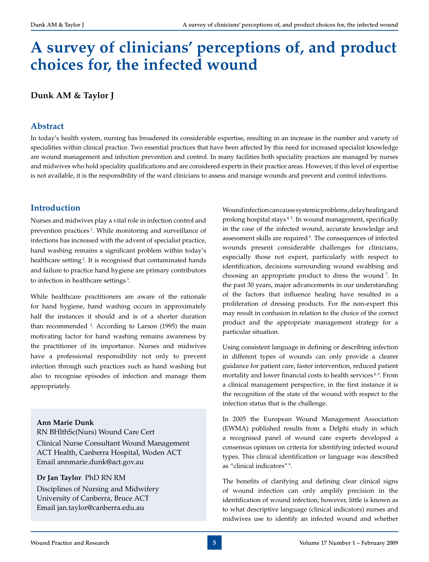# **A survey of clinicians' perceptions of, and product choices for, the infected wound**

## **Dunk AM & Taylor J**

## **Abstract**

In today's health system, nursing has broadened its considerable expertise, resulting in an increase in the number and variety of specialities within clinical practice. Two essential practices that have been affected by this need for increased specialist knowledge are wound management and infection prevention and control. In many facilities both speciality practices are managed by nurses and midwives who hold speciality qualifications and are considered experts in their practice areas. However, if this level of expertise is not available, it is the responsibility of the ward clinicians to assess and manage wounds and prevent and control infections.

## **Introduction**

Nurses and midwives play a vital role in infection control and prevention practices 1. While monitoring and surveillance of infections has increased with the advent of specialist practice, hand washing remains a significant problem within today's healthcare setting<sup>2</sup>. It is recognised that contaminated hands and failure to practice hand hygiene are primary contributors to infection in healthcare settings 3.

While healthcare practitioners are aware of the rationale for hand hygiene, hand washing occurs in approximately half the instances it should and is of a shorter duration than recommended 3 . According to Larson (1995) the main motivating factor for hand washing remains awareness by the practitioner of its importance. Nurses and midwives have a professional responsibility not only to prevent infection through such practices such as hand washing but also to recognise episodes of infection and manage them appropriately.

## **Ann Marie Dunk**

RN BHlthSc(Nurs) Wound Care Cert

Clinical Nurse Consultant Wound Management ACT Health, Canberra Hospital, Woden ACT Email annmarie.dunk@act.gov.au

#### **Dr Jan Taylor** PhD RN RM

Disciplines of Nursing and Midwifery University of Canberra, Bruce ACT Email jan.taylor@canberra.edu.au

Wound infection can cause systemic problems, delay healing and prolong hospital stays<sup>4,5</sup>. In wound management, specifically in the case of the infected wound, accurate knowledge and assessment skills are required <sup>6</sup>. The consequences of infected wounds present considerable challenges for clinicians, especially those not expert, particularly with respect to identification, decisions surrounding wound swabbing and choosing an appropriate product to dress the wound 7. In the past 30 years, major advancements in our understanding of the factors that influence healing have resulted in a proliferation of dressing products. For the non-expert this may result in confusion in relation to the choice of the correct product and the appropriate management strategy for a particular situation.

Using consistent language in defining or describing infection in different types of wounds can only provide a clearer guidance for patient care, faster intervention, reduced patient mortality and lower financial costs to health services<sup>8,9</sup>. From a clinical management perspective, in the first instance it is the recognition of the state of the wound with respect to the infection status that is the challenge.

In 2005 the European Wound Management Association (EWMA) published results from a Delphi study in which a recognised panel of wound care experts developed a consensus opinion on criteria for identifying infected wound types. This clinical identification or language was described as "clinical indicators" 9.

The benefits of clarifying and defining clear clinical signs of wound infection can only amplify precision in the identification of wound infection; however, little is known as to what descriptive language (clinical indicators) nurses and midwives use to identify an infected wound and whether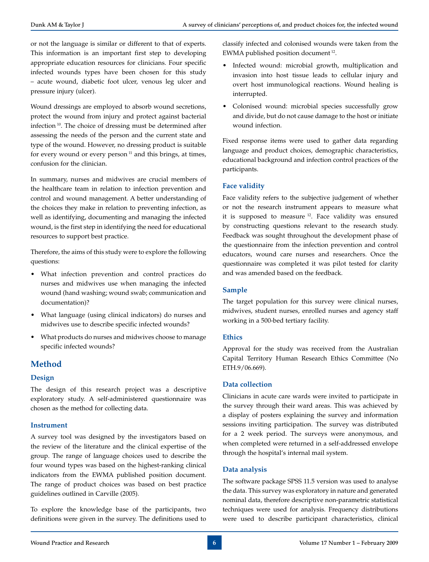or not the language is similar or different to that of experts. This information is an important first step to developing appropriate education resources for clinicians. Four specific infected wounds types have been chosen for this study – acute wound, diabetic foot ulcer, venous leg ulcer and pressure injury (ulcer).

Wound dressings are employed to absorb wound secretions, protect the wound from injury and protect against bacterial infection 10. The choice of dressing must be determined after assessing the needs of the person and the current state and type of the wound. However, no dressing product is suitable for every wound or every person $11$  and this brings, at times, confusion for the clinician.

In summary, nurses and midwives are crucial members of the healthcare team in relation to infection prevention and control and wound management. A better understanding of the choices they make in relation to preventing infection, as well as identifying, documenting and managing the infected wound, is the first step in identifying the need for educational resources to support best practice.

Therefore, the aims of this study were to explore the following questions:

- • What infection prevention and control practices do nurses and midwives use when managing the infected wound (hand washing; wound swab; communication and documentation)?
- • What language (using clinical indicators) do nurses and midwives use to describe specific infected wounds?
- What products do nurses and midwives choose to manage specific infected wounds?

## **Method**

#### **Design**

The design of this research project was a descriptive exploratory study. A self-administered questionnaire was chosen as the method for collecting data.

#### **Instrument**

A survey tool was designed by the investigators based on the review of the literature and the clinical expertise of the group. The range of language choices used to describe the four wound types was based on the highest-ranking clinical indicators from the EWMA published position document. The range of product choices was based on best practice guidelines outlined in Carville (2005).

To explore the knowledge base of the participants, two definitions were given in the survey. The definitions used to

classify infected and colonised wounds were taken from the EWMA published position document 12.

- • Infected wound: microbial growth, multiplication and invasion into host tissue leads to cellular injury and overt host immunological reactions. Wound healing is interrupted.
- • Colonised wound: microbial species successfully grow and divide, but do not cause damage to the host or initiate wound infection.

Fixed response items were used to gather data regarding language and product choices, demographic characteristics, educational background and infection control practices of the participants.

#### **Face validity**

Face validity refers to the subjective judgement of whether or not the research instrument appears to measure what it is supposed to measure 12. Face validity was ensured by constructing questions relevant to the research study. Feedback was sought throughout the development phase of the questionnaire from the infection prevention and control educators, wound care nurses and researchers. Once the questionnaire was completed it was pilot tested for clarity and was amended based on the feedback.

#### **Sample**

The target population for this survey were clinical nurses, midwives, student nurses, enrolled nurses and agency staff working in a 500-bed tertiary facility.

#### **Ethics**

Approval for the study was received from the Australian Capital Territory Human Research Ethics Committee (No ETH.9/06.669).

#### **Data collection**

Clinicians in acute care wards were invited to participate in the survey through their ward areas. This was achieved by a display of posters explaining the survey and information sessions inviting participation. The survey was distributed for a 2 week period. The surveys were anonymous, and when completed were returned in a self-addressed envelope through the hospital's internal mail system.

#### **Data analysis**

The software package SPSS 11.5 version was used to analyse the data. This survey was exploratory in nature and generated nominal data, therefore descriptive non-parametric statistical techniques were used for analysis. Frequency distributions were used to describe participant characteristics, clinical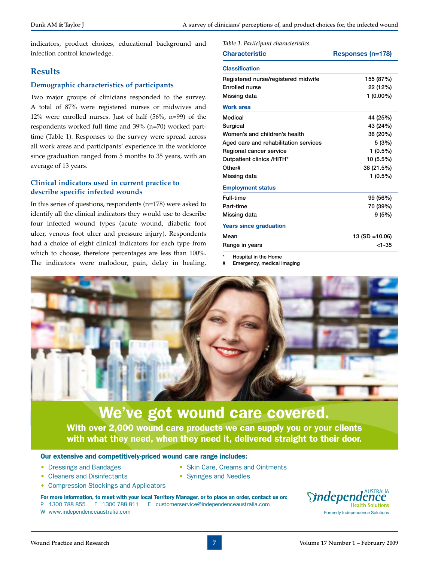*Table 1. Participant characteristics.*

indicators, product choices, educational background and infection control knowledge.

## **Results**

#### **Demographic characteristics of participants**

Two major groups of clinicians responded to the survey. A total of 87% were registered nurses or midwives and 12% were enrolled nurses. Just of half (56%, n=99) of the respondents worked full time and 39% (n=70) worked parttime (Table 1). Responses to the survey were spread across all work areas and participants' experience in the workforce since graduation ranged from 5 months to 35 years, with an average of 13 years.

#### **Clinical indicators used in current practice to describe specific infected wounds**

In this series of questions, respondents (n=178) were asked to identify all the clinical indicators they would use to describe four infected wound types (acute wound, diabetic foot ulcer, venous foot ulcer and pressure injury). Respondents had a choice of eight clinical indicators for each type from which to choose, therefore percentages are less than 100%. The indicators were malodour, pain, delay in healing,

| Tavie 1. Participant characteristics. |                   |
|---------------------------------------|-------------------|
| <b>Characteristic</b>                 | Responses (n=178) |
| <b>Classification</b>                 |                   |
| Registered nurse/registered midwife   | 155 (87%)         |
| <b>Enrolled nurse</b>                 | 22 (12%)          |
| Missing data                          | $1(0.00\%)$       |
| <b>Work area</b>                      |                   |
| Medical                               | 44 (25%)          |
| Surgical                              | 43 (24%)          |
| Women's and children's health         | 36 (20%)          |
| Aged care and rehabilitation services | 5(3%)             |
| Regional cancer service               | $1(0.5\%)$        |
| Outpatient clinics /HITH*             | 10 (5.5%)         |
| Other#                                | 38 (21.5%)        |
| Missing data                          | $1(0.5\%)$        |
| <b>Employment status</b>              |                   |
| <b>Full-time</b>                      | 99 (56%)          |
| Part-time                             | 70 (39%)          |
| Missing data                          | 9(5%)             |
| <b>Years since graduation</b>         |                   |
| Mean                                  | 13 (SD = 10.06)   |
| Range in years                        | $<$ 1-35          |
|                                       |                   |

Hospital in the Home

**Emergency, medical imaging** 



## We've got wound care covered.

With over 2,000 wound care products we can supply you or your clients with what they need, when they need it, delivered straight to their door.

#### Our extensive and competitively-priced wound care range includes:

- Dressings and Bandages
- Cleaners and Disinfectants
- Skin Care, Creams and Ointments
- Compression Stockings and Applicators
- Syringes and Needles
- For more information, to meet with your local Territory Manager, or to place an order, contact us on:

W www.independenceaustralia.com

P 1300 788 855 F 1300 788 811 E customerservice@independenceaustralia.com

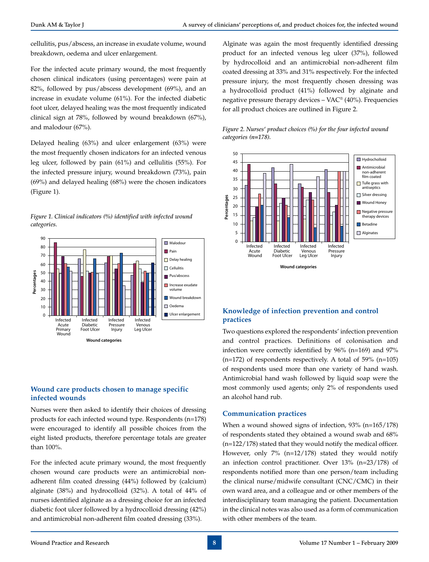cellulitis, pus/abscess, an increase in exudate volume, wound breakdown, oedema and ulcer enlargement.

For the infected acute primary wound, the most frequently chosen clinical indicators (using percentages) were pain at 82%, followed by pus/abscess development (69%), and an increase in exudate volume (61%). For the infected diabetic foot ulcer, delayed healing was the most frequently indicated clinical sign at 78%, followed by wound breakdown (67%), and malodour (67%).

Delayed healing (63%) and ulcer enlargement (63%) were the most frequently chosen indicators for an infected venous leg ulcer, followed by pain (61%) and cellulitis (55%). For the infected pressure injury, wound breakdown (73%), pain (69%) and delayed healing (68%) were the chosen indicators (Figure 1).





#### **Wound care products chosen to manage specific infected wounds**

Nurses were then asked to identify their choices of dressing products for each infected wound type. Respondents (n=178) were encouraged to identify all possible choices from the eight listed products, therefore percentage totals are greater than 100%.

For the infected acute primary wound, the most frequently chosen wound care products were an antimicrobial nonadherent film coated dressing (44%) followed by (calcium) alginate (38%) and hydrocolloid (32%). A total of 44% of nurses identified alginate as a dressing choice for an infected diabetic foot ulcer followed by a hydrocolloid dressing (42%) and antimicrobial non-adherent film coated dressing (33%).

Alginate was again the most frequently identified dressing product for an infected venous leg ulcer (37%), followed by hydrocolloid and an antimicrobial non-adherent film coated dressing at 33% and 31% respectively. For the infected pressure injury, the most frequently chosen dressing was a hydrocolloid product (41%) followed by alginate and negative pressure therapy devices –  $VAC^{\circ}$  (40%). Frequencies for all product choices are outlined in Figure 2.





## **Knowledge of infection prevention and control practices**

Two questions explored the respondents' infection prevention and control practices. Definitions of colonisation and infection were correctly identified by 96% (n=169) and 97%  $(n=172)$  of respondents respectively. A total of 59%  $(n=105)$ of respondents used more than one variety of hand wash. Antimicrobial hand wash followed by liquid soap were the most commonly used agents; only 2% of respondents used an alcohol hand rub.

## **Communication practices**

When a wound showed signs of infection, 93% (n=165/178) of respondents stated they obtained a wound swab and 68% (n=122/178) stated that they would notify the medical officer. However, only 7% (n=12/178) stated they would notify an infection control practitioner. Over 13% (n=23/178) of respondents notified more than one person/team including the clinical nurse/midwife consultant (CNC/CMC) in their own ward area, and a colleague and or other members of the interdisciplinary team managing the patient. Documentation in the clinical notes was also used as a form of communication with other members of the team.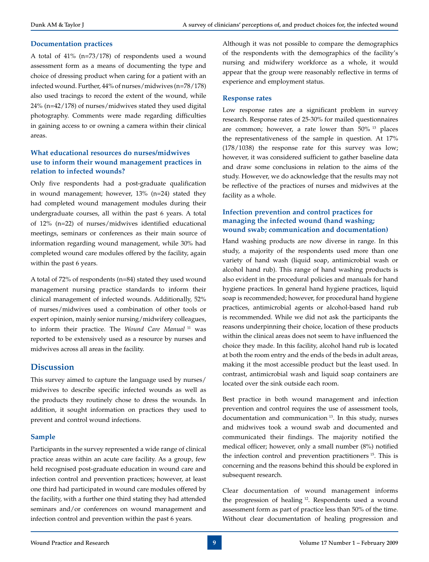#### **Documentation practices**

A total of 41% (n=73/178) of respondents used a wound assessment form as a means of documenting the type and choice of dressing product when caring for a patient with an infected wound. Further, 44% of nurses/midwives (n=78/178) also used tracings to record the extent of the wound, while 24% (n=42/178) of nurses/midwives stated they used digital photography. Comments were made regarding difficulties in gaining access to or owning a camera within their clinical areas.

## **What educational resources do nurses/midwives use to inform their wound management practices in relation to infected wounds?**

Only five respondents had a post-graduate qualification in wound management; however, 13% (n=24) stated they had completed wound management modules during their undergraduate courses, all within the past 6 years. A total of 12% (n=22) of nurses/midwives identified educational meetings, seminars or conferences as their main source of information regarding wound management, while 30% had completed wound care modules offered by the facility, again within the past 6 years.

A total of 72% of respondents (n=84) stated they used wound management nursing practice standards to inform their clinical management of infected wounds. Additionally, 52% of nurses/midwives used a combination of other tools or expert opinion, mainly senior nursing/midwifery colleagues, to inform their practice. The *Wound Care Manual* 11 was reported to be extensively used as a resource by nurses and midwives across all areas in the facility.

#### **Discussion**

This survey aimed to capture the language used by nurses/ midwives to describe specific infected wounds as well as the products they routinely chose to dress the wounds. In addition, it sought information on practices they used to prevent and control wound infections.

#### **Sample**

Participants in the survey represented a wide range of clinical practice areas within an acute care facility. As a group, few held recognised post-graduate education in wound care and infection control and prevention practices; however, at least one third had participated in wound care modules offered by the facility, with a further one third stating they had attended seminars and/or conferences on wound management and infection control and prevention within the past 6 years.

Although it was not possible to compare the demographics of the respondents with the demographics of the facility's nursing and midwifery workforce as a whole, it would appear that the group were reasonably reflective in terms of experience and employment status.

#### **Response rates**

Low response rates are a significant problem in survey research. Response rates of 25-30% for mailed questionnaires are common; however, a rate lower than  $50\%$  <sup>13</sup> places the representativeness of the sample in question. At 17% (178/1038) the response rate for this survey was low; however, it was considered sufficient to gather baseline data and draw some conclusions in relation to the aims of the study. However, we do acknowledge that the results may not be reflective of the practices of nurses and midwives at the facility as a whole.

#### **Infection prevention and control practices for managing the infected wound (hand washing; wound swab; communication and documentation)**

Hand washing products are now diverse in range. In this study, a majority of the respondents used more than one variety of hand wash (liquid soap, antimicrobial wash or alcohol hand rub). This range of hand washing products is also evident in the procedural policies and manuals for hand hygiene practices. In general hand hygiene practices, liquid soap is recommended; however, for procedural hand hygiene practices, antimicrobial agents or alcohol-based hand rub is recommended. While we did not ask the participants the reasons underpinning their choice, location of these products within the clinical areas does not seem to have influenced the choice they made. In this facility, alcohol hand rub is located at both the room entry and the ends of the beds in adult areas, making it the most accessible product but the least used. In contrast, antimicrobial wash and liquid soap containers are located over the sink outside each room.

Best practice in both wound management and infection prevention and control requires the use of assessment tools, documentation and communication 13. In this study, nurses and midwives took a wound swab and documented and communicated their findings. The majority notified the medical officer; however, only a small number (8%) notified the infection control and prevention practitioners<sup>15</sup>. This is concerning and the reasons behind this should be explored in subsequent research.

Clear documentation of wound management informs the progression of healing 12. Respondents used a wound assessment form as part of practice less than 50% of the time. Without clear documentation of healing progression and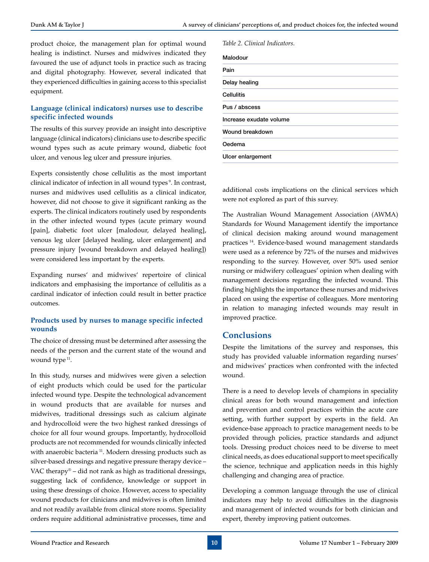product choice, the management plan for optimal wound *Table 2. Clinical Indicators.* healing is indistinct. Nurses and midwives indicated they favoured the use of adjunct tools in practice such as tracing and digital photography. However, several indicated that they experienced difficulties in gaining access to this specialist equipment.

#### **Language (clinical indicators) nurses use to describe specific infected wounds**

The results of this survey provide an insight into descriptive language (clinical indicators) clinicians use to describe specific wound types such as acute primary wound, diabetic foot ulcer, and venous leg ulcer and pressure injuries.

Experts consistently chose cellulitis as the most important clinical indicator of infection in all wound types 9. In contrast, nurses and midwives used cellulitis as a clinical indicator, however, did not choose to give it significant ranking as the experts. The clinical indicators routinely used by respondents in the other infected wound types (acute primary wound [pain], diabetic foot ulcer [malodour, delayed healing], venous leg ulcer [delayed healing, ulcer enlargement] and pressure injury [wound breakdown and delayed healing]) were considered less important by the experts.

Expanding nurses' and midwives' repertoire of clinical indicators and emphasising the importance of cellulitis as a cardinal indicator of infection could result in better practice outcomes.

#### **Products used by nurses to manage specific infected wounds**

The choice of dressing must be determined after assessing the needs of the person and the current state of the wound and wound type<sup>11</sup>.

In this study, nurses and midwives were given a selection of eight products which could be used for the particular infected wound type. Despite the technological advancement in wound products that are available for nurses and midwives, traditional dressings such as calcium alginate and hydrocolloid were the two highest ranked dressings of choice for all four wound groups. Importantly, hydrocolloid products are not recommended for wounds clinically infected with anaerobic bacteria<sup>11</sup>. Modern dressing products such as silver-based dressings and negative pressure therapy device – VAC therapy<sup>®</sup> – did not rank as high as traditional dressings, suggesting lack of confidence, knowledge or support in using these dressings of choice. However, access to speciality wound products for clinicians and midwives is often limited and not readily available from clinical store rooms. Speciality orders require additional administrative processes, time and

additional costs implications on the clinical services which were not explored as part of this survey.

The Australian Wound Management Association (AWMA) Standards for Wound Management identify the importance of clinical decision making around wound management practices 14. Evidence-based wound management standards were used as a reference by 72% of the nurses and midwives responding to the survey. However, over 50% used senior nursing or midwifery colleagues' opinion when dealing with management decisions regarding the infected wound. This finding highlights the importance these nurses and midwives placed on using the expertise of colleagues. More mentoring in relation to managing infected wounds may result in improved practice.

## **Conclusions**

Despite the limitations of the survey and responses, this study has provided valuable information regarding nurses' and midwives' practices when confronted with the infected wound.

There is a need to develop levels of champions in speciality clinical areas for both wound management and infection and prevention and control practices within the acute care setting, with further support by experts in the field. An evidence-base approach to practice management needs to be provided through policies, practice standards and adjunct tools. Dressing product choices need to be diverse to meet clinical needs, as does educational support to meet specifically the science, technique and application needs in this highly challenging and changing area of practice.

Developing a common language through the use of clinical indicators may help to avoid difficulties in the diagnosis and management of infected wounds for both clinician and expert, thereby improving patient outcomes.